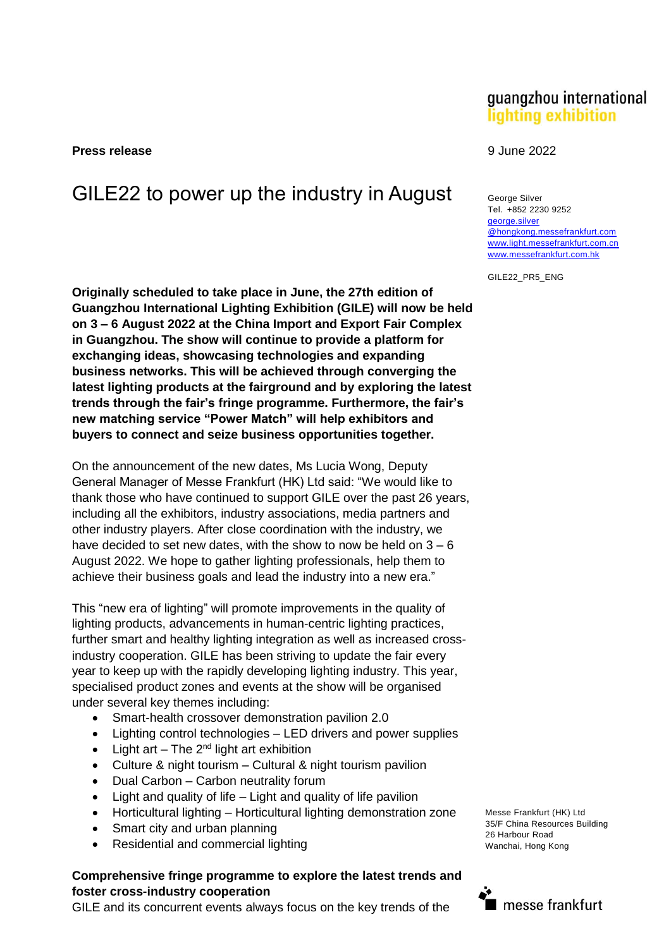**Press release** 9 June 2022

# GILE22 to power up the industry in August George Silver

Originally scheduled to take place in June, the 27th edition of **Guangzhou International Lighting Exhibition (GILE) will now be held on 3 – 6 August 2022 at the China Import and Export Fair Complex in Guangzhou. The show will continue to provide a platform for exchanging ideas, showcasing technologies and expanding business networks. This will be achieved through converging the latest lighting products at the fairground and by exploring the latest trends through the fair's fringe programme. Furthermore, the fair's new matching service "Power Match" will help exhibitors and buyers to connect and seize business opportunities together.**

On the announcement of the new dates, Ms Lucia Wong, Deputy General Manager of Messe Frankfurt (HK) Ltd said: "We would like to thank those who have continued to support GILE over the past 26 years, including all the exhibitors, industry associations, media partners and other industry players. After close coordination with the industry, we have decided to set new dates, with the show to now be held on  $3 - 6$ August 2022. We hope to gather lighting professionals, help them to achieve their business goals and lead the industry into a new era."

This "new era of lighting" will promote improvements in the quality of lighting products, advancements in human-centric lighting practices, further smart and healthy lighting integration as well as increased crossindustry cooperation. GILE has been striving to update the fair every year to keep up with the rapidly developing lighting industry. This year, specialised product zones and events at the show will be organised under several key themes including:

- Smart-health crossover demonstration pavilion 2.0
- Lighting control technologies LED drivers and power supplies
- Light art The  $2^{nd}$  light art exhibition
- Culture & night tourism Cultural & night tourism pavilion
- Dual Carbon Carbon neutrality forum
- Light and quality of life Light and quality of life pavilion
- Horticultural lighting Horticultural lighting demonstration zone
- Smart city and urban planning
- Residential and commercial lighting

#### **Comprehensive fringe programme to explore the latest trends and foster cross-industry cooperation**

GILE and its concurrent events always focus on the key trends of the

## guangzhou international lighting exhibition

Tel. +852 2230 9252 [george.silver](mailto:george.silver@hongkong.messefrankfurt.com) [@hongkong.messefrankfurt.com](mailto:george.silver@hongkong.messefrankfurt.com) [www.light.messefrankfurt.com.cn](http://www.light.messefrankfurt.com.cn/) [www.messefrankfurt.com.hk](http://www.messefrankfurt.com.hk/)

GILE22\_PR5\_ENG

Messe Frankfurt (HK) Ltd 35/F China Resources Building 26 Harbour Road Wanchai, Hong Kong

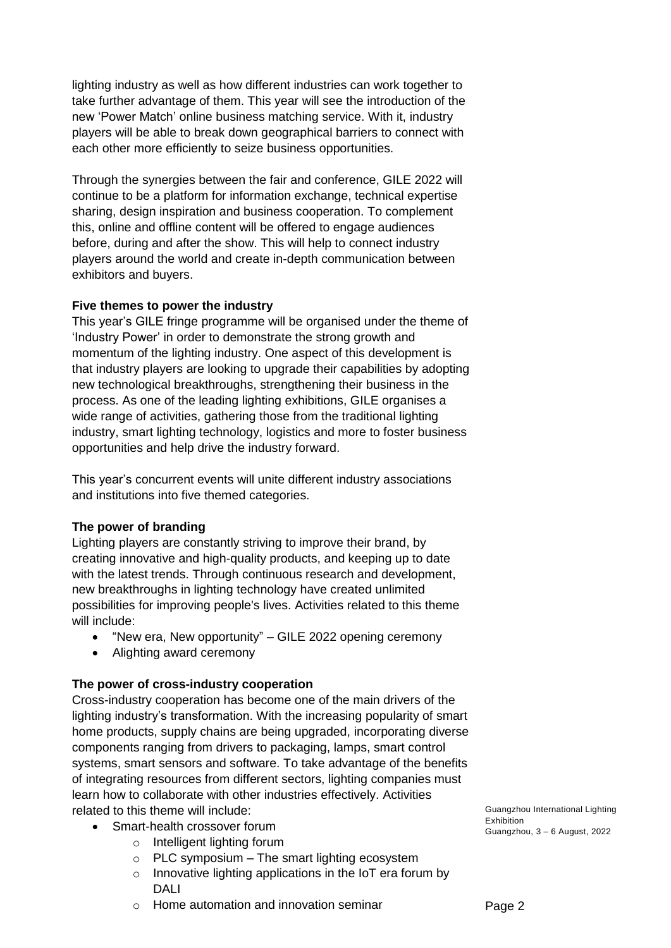lighting industry as well as how different industries can work together to take further advantage of them. This year will see the introduction of the new 'Power Match' online business matching service. With it, industry players will be able to break down geographical barriers to connect with each other more efficiently to seize business opportunities.

Through the synergies between the fair and conference, GILE 2022 will continue to be a platform for information exchange, technical expertise sharing, design inspiration and business cooperation. To complement this, online and offline content will be offered to engage audiences before, during and after the show. This will help to connect industry players around the world and create in-depth communication between exhibitors and buyers.

#### **Five themes to power the industry**

This year's GILE fringe programme will be organised under the theme of 'Industry Power' in order to demonstrate the strong growth and momentum of the lighting industry. One aspect of this development is that industry players are looking to upgrade their capabilities by adopting new technological breakthroughs, strengthening their business in the process. As one of the leading lighting exhibitions, GILE organises a wide range of activities, gathering those from the traditional lighting industry, smart lighting technology, logistics and more to foster business opportunities and help drive the industry forward.

This year's concurrent events will unite different industry associations and institutions into five themed categories.

#### **The power of branding**

Lighting players are constantly striving to improve their brand, by creating innovative and high-quality products, and keeping up to date with the latest trends. Through continuous research and development, new breakthroughs in lighting technology have created unlimited possibilities for improving people's lives. Activities related to this theme will include:

- "New era, New opportunity" GILE 2022 opening ceremony
- Alighting award ceremony

#### **The power of cross-industry cooperation**

Cross-industry cooperation has become one of the main drivers of the lighting industry's transformation. With the increasing popularity of smart home products, supply chains are being upgraded, incorporating diverse components ranging from drivers to packaging, lamps, smart control systems, smart sensors and software. To take advantage of the benefits of integrating resources from different sectors, lighting companies must learn how to collaborate with other industries effectively. Activities related to this theme will include:

- Smart-health crossover forum
	- o Intelligent lighting forum
	- $\circ$  PLC symposium The smart lighting ecosystem
	- o Innovative lighting applications in the IoT era forum by DALI
	- $\circ$  Home automation and innovation seminar

Guangzhou International Lighting Exhibition Guangzhou, 3 – 6 August, 2022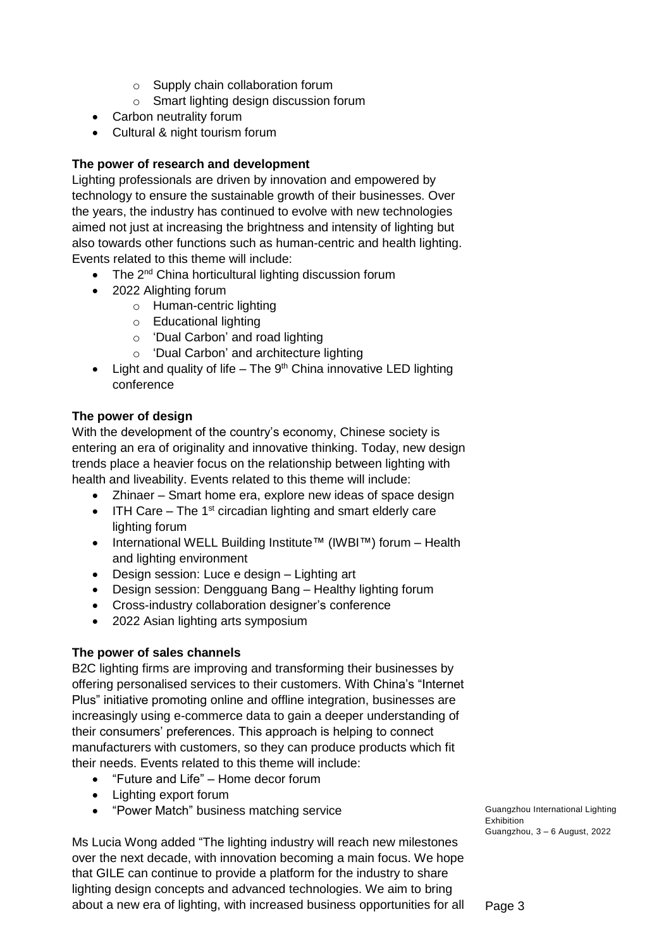- o Supply chain collaboration forum
- o Smart lighting design discussion forum
- Carbon neutrality forum
- Cultural & night tourism forum

### **The power of research and development**

Lighting professionals are driven by innovation and empowered by technology to ensure the sustainable growth of their businesses. Over the years, the industry has continued to evolve with new technologies aimed not just at increasing the brightness and intensity of lighting but also towards other functions such as human-centric and health lighting. Events related to this theme will include:

- $\bullet$  The 2<sup>nd</sup> China horticultural lighting discussion forum
- 2022 Alighting forum
	- o Human-centric lighting
	- o Educational lighting
	- o 'Dual Carbon' and road lighting
	- o 'Dual Carbon' and architecture lighting
- Light and quality of life  $-$  The 9<sup>th</sup> China innovative LED lighting conference

#### **The power of design**

With the development of the country's economy, Chinese society is entering an era of originality and innovative thinking. Today, new design trends place a heavier focus on the relationship between lighting with health and liveability. Events related to this theme will include:

- Zhinaer Smart home era, explore new ideas of space design
- $\bullet$  ITH Care The 1<sup>st</sup> circadian lighting and smart elderly care lighting forum
- International WELL Building Institute™ (IWBI™) forum Health and lighting environment
- Design session: Luce e design Lighting art
- Design session: Dengguang Bang Healthy lighting forum
- Cross-industry collaboration designer's conference
- 2022 Asian lighting arts symposium

#### **The power of sales channels**

B2C lighting firms are improving and transforming their businesses by offering personalised services to their customers. With China's "Internet Plus" initiative promoting online and offline integration, businesses are increasingly using e-commerce data to gain a deeper understanding of their consumers' preferences. This approach is helping to connect manufacturers with customers, so they can produce products which fit their needs. Events related to this theme will include:

- "Future and Life" Home decor forum
- Lighting export forum
- "Power Match" business matching service

Ms Lucia Wong added "The lighting industry will reach new milestones over the next decade, with innovation becoming a main focus. We hope that GILE can continue to provide a platform for the industry to share lighting design concepts and advanced technologies. We aim to bring about a new era of lighting, with increased business opportunities for all Guangzhou International Lighting Exhibition Guangzhou, 3 – 6 August, 2022

Page 3